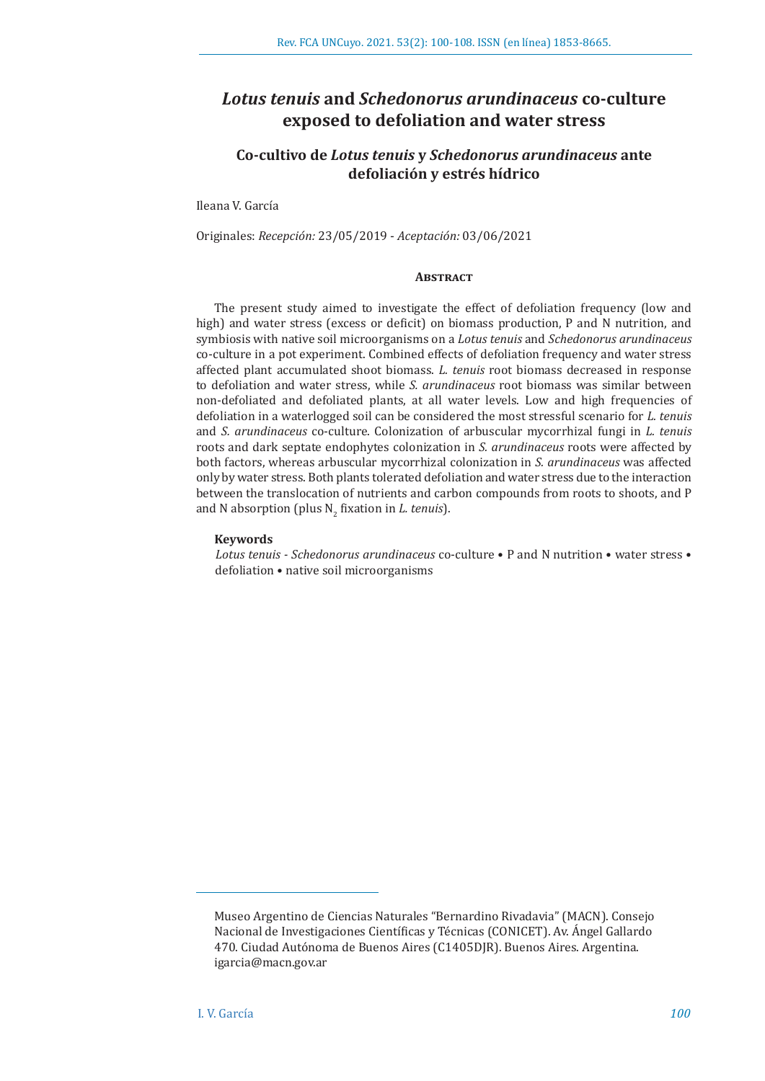# *Lotus tenuis* **and** *Schedonorus arundinaceus* **co-culture exposed to defoliation and water stress**

## **Co-cultivo de** *Lotus tenuis* **y** *Schedonorus arundinaceus* **ante defoliación y estrés hídrico**

Ileana V. García

Originales: *Recepción:* 23/05/2019 - *Aceptación:* 03/06/2021

## **Abstract**

The present study aimed to investigate the effect of defoliation frequency (low and high) and water stress (excess or deficit) on biomass production, P and N nutrition, and symbiosis with native soil microorganisms on a *Lotus tenuis* and *Schedonorus arundinaceus* co-culture in a pot experiment. Combined effects of defoliation frequency and water stress affected plant accumulated shoot biomass. *L. tenuis* root biomass decreased in response to defoliation and water stress, while *S. arundinaceus* root biomass was similar between non-defoliated and defoliated plants, at all water levels. Low and high frequencies of defoliation in a waterlogged soil can be considered the most stressful scenario for *L. tenuis*  and *S. arundinaceus* co-culture. Colonization of arbuscular mycorrhizal fungi in *L. tenuis* roots and dark septate endophytes colonization in *S. arundinaceus* roots were affected by both factors, whereas arbuscular mycorrhizal colonization in *S. arundinaceus* was affected only by water stress. Both plants tolerated defoliation and water stress due to the interaction between the translocation of nutrients and carbon compounds from roots to shoots, and P and N absorption (plus N<sup>2</sup> fixation in *L. tenuis*).

## **Keywords**

*Lotus tenuis - Schedonorus arundinaceus* co-culture • P and N nutrition • water stress • defoliation • native soil microorganisms

Museo Argentino de Ciencias Naturales "Bernardino Rivadavia" (MACN). Consejo Nacional de Investigaciones Científicas y Técnicas (CONICET). Av. Ángel Gallardo 470. Ciudad Autónoma de Buenos Aires (C1405DJR). Buenos Aires. Argentina. igarcia@macn.gov.ar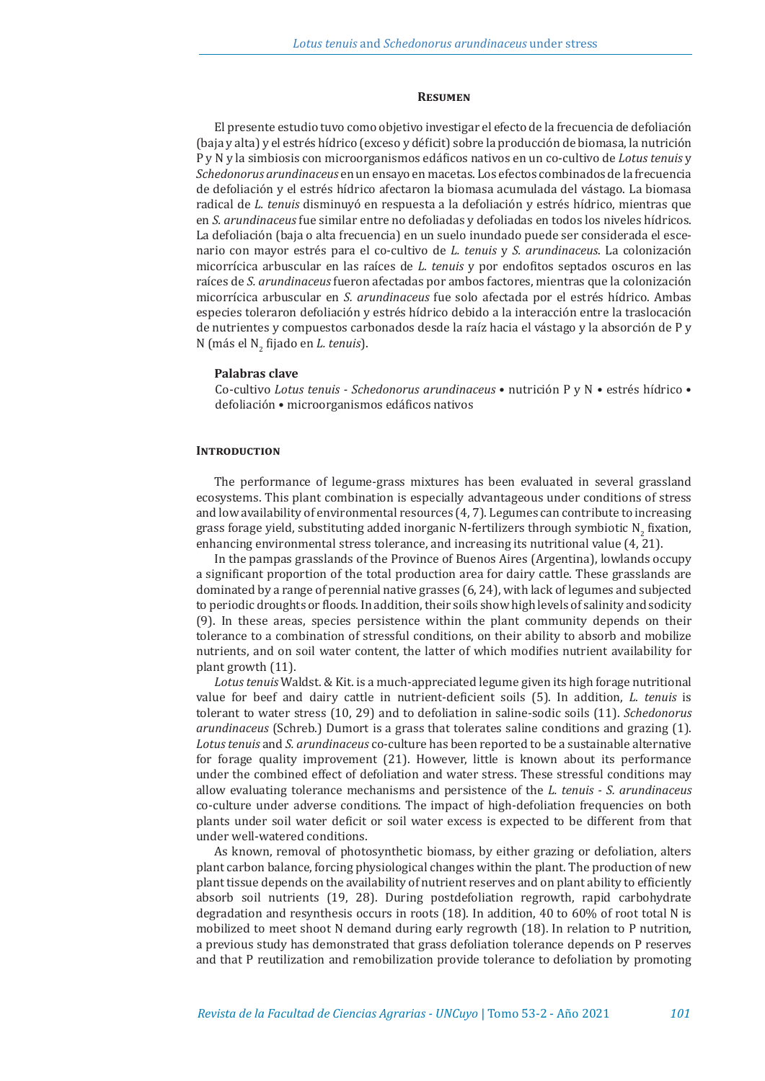#### **Resumen**

El presente estudio tuvo como objetivo investigar el efecto de la frecuencia de defoliación (baja y alta) y el estrés hídrico (exceso y déficit) sobre la producción de biomasa, la nutrición P y N y la simbiosis con microorganismos edáficos nativos en un co-cultivo de *Lotus tenuis* y *Schedonorus arundinaceus* en un ensayo en macetas. Los efectos combinados de la frecuencia de defoliación y el estrés hídrico afectaron la biomasa acumulada del vástago. La biomasa radical de *L. tenuis* disminuyó en respuesta a la defoliación y estrés hídrico, mientras que en *S. arundinaceus* fue similar entre no defoliadas y defoliadas en todos los niveles hídricos. La defoliación (baja o alta frecuencia) en un suelo inundado puede ser considerada el escenario con mayor estrés para el co-cultivo de *L. tenuis* y *S. arundinaceus*. La colonización micorrícica arbuscular en las raíces de *L. tenuis* y por endofitos septados oscuros en las raíces de *S. arundinaceus* fueron afectadas por ambos factores, mientras que la colonización micorrícica arbuscular en *S. arundinaceus* fue solo afectada por el estrés hídrico. Ambas especies toleraron defoliación y estrés hídrico debido a la interacción entre la traslocación de nutrientes y compuestos carbonados desde la raíz hacia el vástago y la absorción de P y N (más el N<sub>2</sub> fijado en *L. tenuis*).

## **Palabras clave**

Co-cultivo *Lotus tenuis - Schedonorus arundinaceus* • nutrición P y N • estrés hídrico • defoliación • microorganismos edáficos nativos

## **INTRODUCTION**

The performance of legume-grass mixtures has been evaluated in several grassland ecosystems. This plant combination is especially advantageous under conditions of stress and low availability of environmental resources (4, 7). Legumes can contribute to increasing grass forage yield, substituting added inorganic N-fertilizers through symbiotic  $N_2$  fixation, enhancing environmental stress tolerance, and increasing its nutritional value (4, 21).

In the pampas grasslands of the Province of Buenos Aires (Argentina), lowlands occupy a significant proportion of the total production area for dairy cattle. These grasslands are dominated by a range of perennial native grasses (6, 24), with lack of legumes and subjected to periodic droughts or floods. In addition, their soils show high levels of salinity and sodicity (9). In these areas, species persistence within the plant community depends on their tolerance to a combination of stressful conditions, on their ability to absorb and mobilize nutrients, and on soil water content, the latter of which modifies nutrient availability for plant growth (11).

*Lotus tenuis* Waldst. & Kit. is a much-appreciated legume given its high forage nutritional value for beef and dairy cattle in nutrient-deficient soils (5). In addition, *L. tenuis* is tolerant to water stress (10, 29) and to defoliation in saline-sodic soils (11). *Schedonorus arundinaceus* (Schreb.) Dumort is a grass that tolerates saline conditions and grazing (1). *Lotus tenuis* and *S. arundinaceus* co-culture has been reported to be a sustainable alternative for forage quality improvement (21). However, little is known about its performance under the combined effect of defoliation and water stress. These stressful conditions may allow evaluating tolerance mechanisms and persistence of the *L. tenuis - S. arundinaceus* co-culture under adverse conditions. The impact of high-defoliation frequencies on both plants under soil water deficit or soil water excess is expected to be different from that under well-watered conditions.

As known, removal of photosynthetic biomass, by either grazing or defoliation, alters plant carbon balance, forcing physiological changes within the plant. The production of new plant tissue depends on the availability of nutrient reserves and on plant ability to efficiently absorb soil nutrients (19, 28). During postdefoliation regrowth, rapid carbohydrate degradation and resynthesis occurs in roots (18). In addition, 40 to 60% of root total N is mobilized to meet shoot N demand during early regrowth (18). In relation to P nutrition, a previous study has demonstrated that grass defoliation tolerance depends on P reserves and that P reutilization and remobilization provide tolerance to defoliation by promoting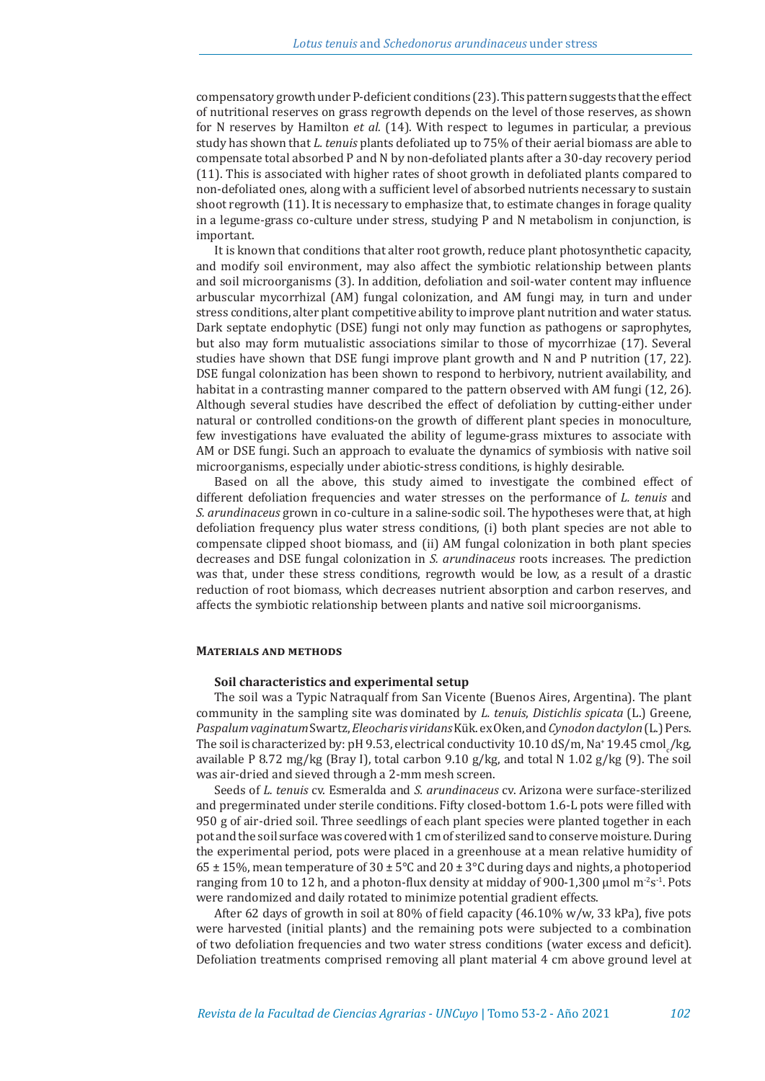compensatory growth under P-deficient conditions (23). This pattern suggests that the effect of nutritional reserves on grass regrowth depends on the level of those reserves, as shown for N reserves by Hamilton *et al.* (14). With respect to legumes in particular, a previous study has shown that *L. tenuis* plants defoliated up to 75% of their aerial biomass are able to compensate total absorbed P and N by non-defoliated plants after a 30-day recovery period (11). This is associated with higher rates of shoot growth in defoliated plants compared to non-defoliated ones, along with a sufficient level of absorbed nutrients necessary to sustain shoot regrowth (11). It is necessary to emphasize that, to estimate changes in forage quality in a legume-grass co-culture under stress, studying P and N metabolism in conjunction, is important.

It is known that conditions that alter root growth, reduce plant photosynthetic capacity, and modify soil environment, may also affect the symbiotic relationship between plants and soil microorganisms (3). In addition, defoliation and soil-water content may influence arbuscular mycorrhizal (AM) fungal colonization, and AM fungi may, in turn and under stress conditions, alter plant competitive ability to improve plant nutrition and water status. Dark septate endophytic (DSE) fungi not only may function as pathogens or saprophytes, but also may form mutualistic associations similar to those of mycorrhizae (17). Several studies have shown that DSE fungi improve plant growth and N and P nutrition (17, 22). DSE fungal colonization has been shown to respond to herbivory, nutrient availability, and habitat in a contrasting manner compared to the pattern observed with AM fungi (12, 26). Although several studies have described the effect of defoliation by cutting-either under natural or controlled conditions-on the growth of different plant species in monoculture, few investigations have evaluated the ability of legume-grass mixtures to associate with AM or DSE fungi. Such an approach to evaluate the dynamics of symbiosis with native soil microorganisms, especially under abiotic-stress conditions, is highly desirable.

Based on all the above, this study aimed to investigate the combined effect of different defoliation frequencies and water stresses on the performance of *L. tenuis* and *S. arundinaceus* grown in co-culture in a saline-sodic soil. The hypotheses were that, at high defoliation frequency plus water stress conditions, (i) both plant species are not able to compensate clipped shoot biomass, and (ii) AM fungal colonization in both plant species decreases and DSE fungal colonization in *S. arundinaceus* roots increases. The prediction was that, under these stress conditions, regrowth would be low, as a result of a drastic reduction of root biomass, which decreases nutrient absorption and carbon reserves, and affects the symbiotic relationship between plants and native soil microorganisms.

## **Materials and methods**

## **Soil characteristics and experimental setup**

The soil was a Typic Natraqualf from San Vicente (Buenos Aires, Argentina). The plant community in the sampling site was dominated by *L. tenuis*, *Distichlis spicata* (L.) Greene, *Paspalum vaginatum* Swartz, *Eleocharis viridans* Kük. ex Oken, and *Cynodon dactylon* (L.) Pers. The soil is characterized by: pH 9.53, electrical conductivity  $10.10 \text{ dS/m}$ , Na+  $19.45 \text{ cmol}$ , /kg, available P 8.72 mg/kg (Bray I), total carbon 9.10 g/kg, and total N 1.02 g/kg (9). The soil was air-dried and sieved through a 2-mm mesh screen.

Seeds of *L. tenuis* cv. Esmeralda and *S. arundinaceus* cv. Arizona were surface-sterilized and pregerminated under sterile conditions. Fifty closed-bottom 1.6-L pots were filled with 950 g of air-dried soil. Three seedlings of each plant species were planted together in each pot and the soil surface was covered with 1 cm of sterilized sand to conserve moisture. During the experimental period, pots were placed in a greenhouse at a mean relative humidity of  $65 \pm 15$ %, mean temperature of  $30 \pm 5$ °C and  $20 \pm 3$ °C during days and nights, a photoperiod ranging from 10 to 12 h, and a photon-flux density at midday of 900-1,300  $\mu$ mol m<sup>-2</sup>s<sup>-1</sup>. Pots were randomized and daily rotated to minimize potential gradient effects.

After 62 days of growth in soil at 80% of field capacity  $(46.10\% \text{ w/w}, 33 \text{ kPa})$ , five pots were harvested (initial plants) and the remaining pots were subjected to a combination of two defoliation frequencies and two water stress conditions (water excess and deficit). Defoliation treatments comprised removing all plant material 4 cm above ground level at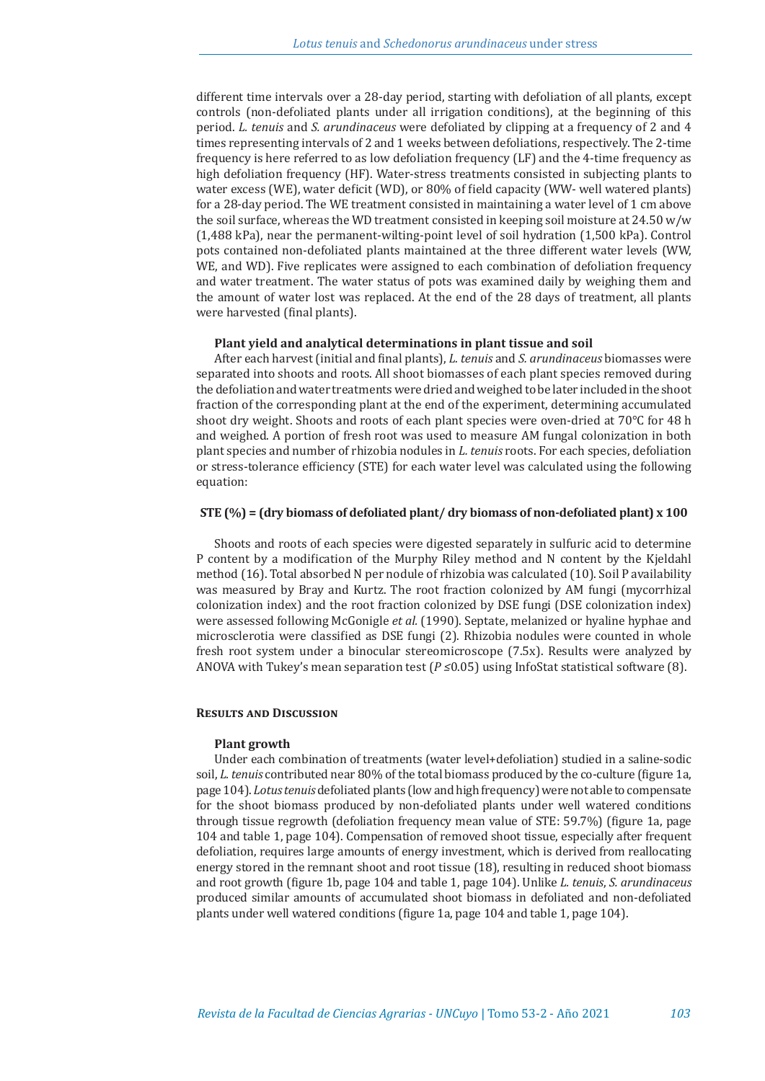different time intervals over a 28-day period, starting with defoliation of all plants, except controls (non-defoliated plants under all irrigation conditions), at the beginning of this period. *L. tenuis* and *S. arundinaceus* were defoliated by clipping at a frequency of 2 and 4 times representing intervals of 2 and 1 weeks between defoliations, respectively. The 2-time frequency is here referred to as low defoliation frequency (LF) and the 4-time frequency as high defoliation frequency (HF). Water-stress treatments consisted in subjecting plants to water excess (WE), water deficit (WD), or 80% of field capacity (WW- well watered plants) for a 28-day period. The WE treatment consisted in maintaining a water level of 1 cm above the soil surface, whereas the WD treatment consisted in keeping soil moisture at  $24.50$  w/w (1,488 kPa), near the permanent-wilting-point level of soil hydration (1,500 kPa). Control pots contained non-defoliated plants maintained at the three different water levels (WW, WE, and WD). Five replicates were assigned to each combination of defoliation frequency and water treatment. The water status of pots was examined daily by weighing them and the amount of water lost was replaced. At the end of the 28 days of treatment, all plants were harvested (final plants).

## **Plant yield and analytical determinations in plant tissue and soil**

After each harvest (initial and final plants), *L. tenuis* and *S. arundinaceus* biomasses were separated into shoots and roots. All shoot biomasses of each plant species removed during the defoliation and water treatments were dried and weighed to be later included in the shoot fraction of the corresponding plant at the end of the experiment, determining accumulated shoot dry weight. Shoots and roots of each plant species were oven-dried at 70°C for 48 h and weighed. A portion of fresh root was used to measure AM fungal colonization in both plant species and number of rhizobia nodules in *L. tenuis* roots. For each species, defoliation or stress-tolerance efficiency (STE) for each water level was calculated using the following equation:

## **STE (%) = (dry biomass of defoliated plant/ dry biomass of non-defoliated plant) x 100**

Shoots and roots of each species were digested separately in sulfuric acid to determine P content by a modification of the Murphy Riley method and N content by the Kjeldahl method (16). Total absorbed N per nodule of rhizobia was calculated (10). Soil P availability was measured by Bray and Kurtz. The root fraction colonized by AM fungi (mycorrhizal colonization index) and the root fraction colonized by DSE fungi (DSE colonization index) were assessed following McGonigle *et al.* (1990). Septate, melanized or hyaline hyphae and microsclerotia were classified as DSE fungi (2). Rhizobia nodules were counted in whole fresh root system under a binocular stereomicroscope (7.5x). Results were analyzed by ANOVA with Tukey's mean separation test (*P ≤*0.05) using InfoStat statistical software (8).

## **Results and Discussion**

#### **Plant growth**

Under each combination of treatments (water level+defoliation) studied in a saline-sodic soil, *L. tenuis* contributed near 80% of the total biomass produced by the co-culture (figure 1a, page 104). *Lotustenuis* defoliated plants (low and high frequency) were not able to compensate for the shoot biomass produced by non-defoliated plants under well watered conditions through tissue regrowth (defoliation frequency mean value of STE: 59.7%) (figure 1a, page 104 and table 1, page 104). Compensation of removed shoot tissue, especially after frequent defoliation, requires large amounts of energy investment, which is derived from reallocating energy stored in the remnant shoot and root tissue (18), resulting in reduced shoot biomass and root growth (figure 1b, page 104 and table 1, page 104). Unlike *L. tenuis*, *S. arundinaceus* produced similar amounts of accumulated shoot biomass in defoliated and non-defoliated plants under well watered conditions (figure 1a, page 104 and table 1, page 104).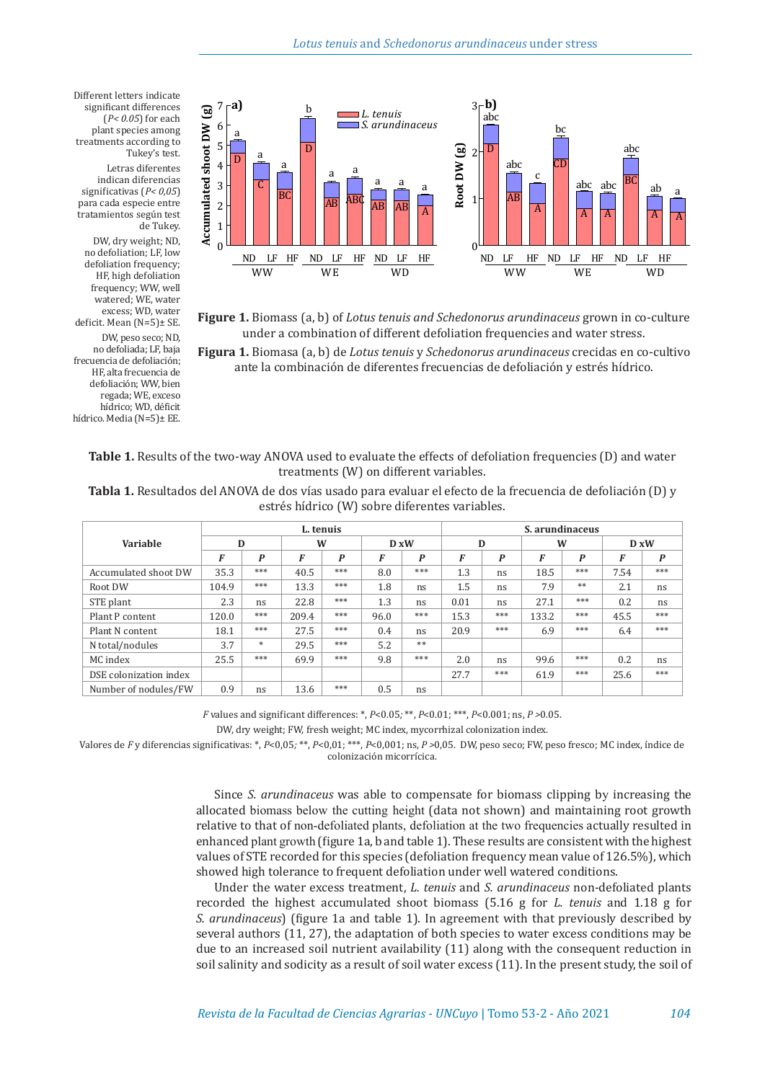Different letters indicate significant differences (*P< 0.05*) for each plant species among treatments according to Tukey's test.

Letras diferentes indican diferencias significativas (*P< 0,05*) para cada especie entre tratamientos según test de Tukey.

DW, dry weight; ND, no defoliation; LF, low defoliation frequency: HF, high defoliation frequency; WW, well watered; WE, water excess; WD, water deficit. Mean (N=5)± SE.

DW, peso seco; ND, no defoliada; LF, baja frecuencia de defoliación; HF, alta frecuencia de defoliación; WW, bien regada; WE, exceso hídrico; WD, déficit hídrico. Media (N=5)± EE.



**Figure 1.** Biomass (a, b) of *Lotus tenuis and Schedonorus arundinaceus* grown in co-culture under a combination of different defoliation frequencies and water stress.

**Figura 1.** Biomasa (a, b) de *Lotus tenuis* y *Schedonorus arundinaceus* crecidas en co-cultivo ante la combinación de diferentes frecuencias de defoliación y estrés hídrico.

**Table 1.** Results of the two-way ANOVA used to evaluate the effects of defoliation frequencies (D) and water treatments (W) on different variables.

**Tabla 1.** Resultados del ANOVA de dos vías usado para evaluar el efecto de la frecuencia de defoliación (D) y estrés hídrico (W) sobre diferentes variables.

|                        | L. tenuis |     |       |     |      |                  | S. arundinaceus |     |       |     |      |                  |
|------------------------|-----------|-----|-------|-----|------|------------------|-----------------|-----|-------|-----|------|------------------|
| Variable               | D         |     | W     |     | D xW |                  | D               |     | W     |     | D xW |                  |
|                        | F         | P   | F     | P   | F    | $\boldsymbol{P}$ | F               | P   | F     | P   | F    | $\boldsymbol{P}$ |
| Accumulated shoot DW   | 35.3      | *** | 40.5  | *** | 8.0  | ***              | 1.3             | ns  | 18.5  | *** | 7.54 | ***              |
| Root DW                | 104.9     | *** | 13.3  | *** | 1.8  | ns               | 1.5             | ns  | 7.9   | **  | 2.1  | ns               |
| STE plant              | 2.3       | ns  | 22.8  | *** | 1.3  | ns               | 0.01            | ns  | 27.1  | *** | 0.2  | ns               |
| Plant P content        | 120.0     | *** | 209.4 | *** | 96.0 | ***              | 15.3            | *** | 133.2 | *** | 45.5 | ***              |
| Plant N content        | 18.1      | *** | 27.5  | *** | 0.4  | ns               | 20.9            | *** | 6.9   | *** | 6.4  | ***              |
| N total/nodules        | 3.7       | *   | 29.5  | *** | 5.2  | **               |                 |     |       |     |      |                  |
| MC index               | 25.5      | *** | 69.9  | *** | 9.8  | ***              | 2.0             | ns  | 99.6  | *** | 0.2  | ns               |
| DSE colonization index |           |     |       |     |      |                  | 27.7            | *** | 61.9  | *** | 25.6 | ***              |
| Number of nodules/FW   | 0.9       | ns  | 13.6  | *** | 0.5  | ns               |                 |     |       |     |      |                  |

*F* values and significant differences: \*, *P*<0.05*;* \*\*, *P*<0.01; \*\*\*, *P*<0.001; ns, *P >*0.05.

DW, dry weight; FW, fresh weight; MC index, mycorrhizal colonization index.

Valores de *F* y diferencias significativas: \*, *P*<0,05*;* \*\*, *P*<0,01; \*\*\*, *P*<0,001; ns, *P >*0,05. DW, peso seco; FW, peso fresco; MC index, índice de colonización micorrícica.

> Since *S. arundinaceus* was able to compensate for biomass clipping by increasing the allocated biomass below the cutting height (data not shown) and maintaining root growth relative to that of non-defoliated plants, defoliation at the two frequencies actually resulted in enhanced plant growth (figure 1a, b and table 1). These results are consistent with the highest values of STE recorded for this species (defoliation frequency mean value of 126.5%), which showed high tolerance to frequent defoliation under well watered conditions.

> Under the water excess treatment, *L. tenuis* and *S. arundinaceus* non-defoliated plants recorded the highest accumulated shoot biomass (5.16 g for *L. tenuis* and 1.18 g for *S. arundinaceus*) (figure 1a and table 1). In agreement with that previously described by several authors (11, 27), the adaptation of both species to water excess conditions may be due to an increased soil nutrient availability (11) along with the consequent reduction in soil salinity and sodicity as a result of soil water excess (11). In the present study, the soil of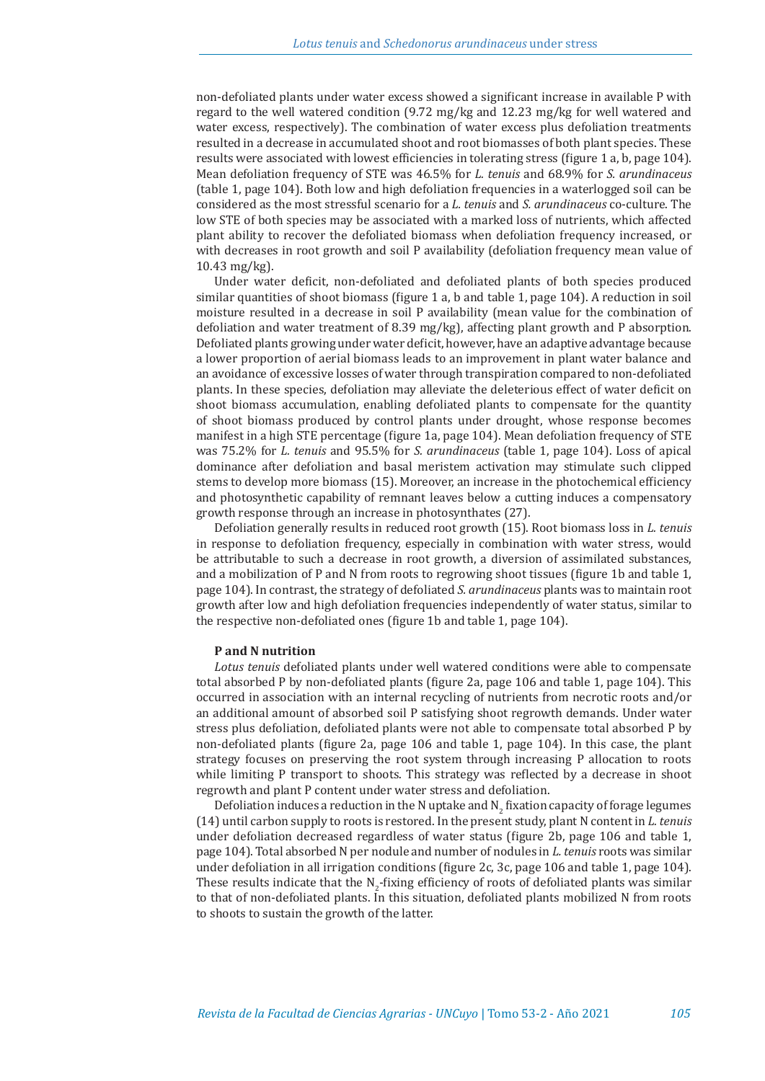non-defoliated plants under water excess showed a significant increase in available P with regard to the well watered condition (9.72 mg/kg and 12.23 mg/kg for well watered and water excess, respectively). The combination of water excess plus defoliation treatments resulted in a decrease in accumulated shoot and root biomasses of both plant species. These results were associated with lowest efficiencies in tolerating stress (figure 1 a, b, page 104). Mean defoliation frequency of STE was 46.5% for *L. tenuis* and 68.9% for *S. arundinaceus* (table 1, page 104). Both low and high defoliation frequencies in a waterlogged soil can be considered as the most stressful scenario for a *L. tenuis* and *S. arundinaceus* co-culture. The low STE of both species may be associated with a marked loss of nutrients, which affected plant ability to recover the defoliated biomass when defoliation frequency increased, or with decreases in root growth and soil P availability (defoliation frequency mean value of 10.43 mg/kg).

Under water deficit, non-defoliated and defoliated plants of both species produced similar quantities of shoot biomass (figure 1 a, b and table 1, page 104). A reduction in soil moisture resulted in a decrease in soil P availability (mean value for the combination of defoliation and water treatment of 8.39 mg/kg), affecting plant growth and P absorption. Defoliated plants growing under water deficit, however, have an adaptive advantage because a lower proportion of aerial biomass leads to an improvement in plant water balance and an avoidance of excessive losses of water through transpiration compared to non-defoliated plants. In these species, defoliation may alleviate the deleterious effect of water deficit on shoot biomass accumulation, enabling defoliated plants to compensate for the quantity of shoot biomass produced by control plants under drought, whose response becomes manifest in a high STE percentage (figure 1a, page 104). Mean defoliation frequency of STE was 75.2% for *L. tenuis* and 95.5% for *S. arundinaceus* (table 1, page 104). Loss of apical dominance after defoliation and basal meristem activation may stimulate such clipped stems to develop more biomass (15). Moreover, an increase in the photochemical efficiency and photosynthetic capability of remnant leaves below a cutting induces a compensatory growth response through an increase in photosynthates (27).

Defoliation generally results in reduced root growth (15). Root biomass loss in *L. tenuis* in response to defoliation frequency, especially in combination with water stress, would be attributable to such a decrease in root growth, a diversion of assimilated substances, and a mobilization of P and N from roots to regrowing shoot tissues (figure 1b and table 1, page 104). In contrast, the strategy of defoliated *S. arundinaceus* plants was to maintain root growth after low and high defoliation frequencies independently of water status, similar to the respective non-defoliated ones (figure 1b and table 1, page 104).

## **P and N nutrition**

*Lotus tenuis* defoliated plants under well watered conditions were able to compensate total absorbed P by non-defoliated plants (figure 2a, page 106 and table 1, page 104). This occurred in association with an internal recycling of nutrients from necrotic roots and/or an additional amount of absorbed soil P satisfying shoot regrowth demands. Under water stress plus defoliation, defoliated plants were not able to compensate total absorbed P by non-defoliated plants (figure 2a, page 106 and table 1, page 104). In this case, the plant strategy focuses on preserving the root system through increasing P allocation to roots while limiting P transport to shoots. This strategy was reflected by a decrease in shoot regrowth and plant P content under water stress and defoliation.

Defoliation induces a reduction in the N uptake and  $N_2$  fixation capacity of forage legumes (14) until carbon supply to roots is restored. In the present study, plant N content in *L. tenuis* under defoliation decreased regardless of water status (figure 2b, page 106 and table 1, page 104). Total absorbed N per nodule and number of nodules in *L. tenuis* roots was similar under defoliation in all irrigation conditions (figure 2c, 3c, page 106 and table 1, page 104). These results indicate that the  $N_2$ -fixing efficiency of roots of defoliated plants was similar to that of non-defoliated plants. In this situation, defoliated plants mobilized N from roots to shoots to sustain the growth of the latter.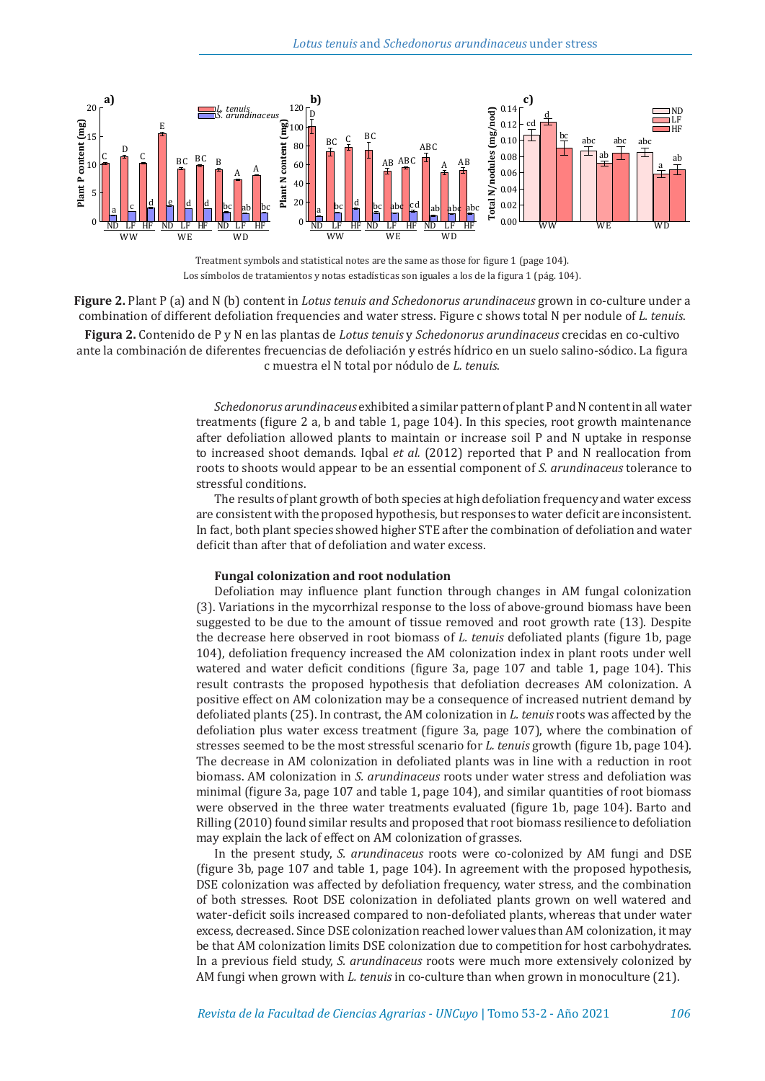

Treatment symbols and statistical notes are the same as those for figure 1 (page 104). Los símbolos de tratamientos y notas estadísticas son iguales a los de la figura 1 (pág. 104).

**Figure 2.** Plant P (a) and N (b) content in *Lotus tenuis and Schedonorus arundinaceus* grown in co-culture under a combination of different defoliation frequencies and water stress. Figure c shows total N per nodule of *L. tenuis*.

**Figura 2.** Contenido de P y N en las plantas de *Lotus tenuis* y *Schedonorus arundinaceus* crecidas en co-cultivo ante la combinación de diferentes frecuencias de defoliación y estrés hídrico en un suelo salino-sódico. La figura c muestra el N total por nódulo de *L. tenuis*.

> *Schedonorus arundinaceus* exhibited a similar pattern of plant P and N content in all water treatments (figure 2 a, b and table 1, page 104). In this species, root growth maintenance after defoliation allowed plants to maintain or increase soil P and N uptake in response to increased shoot demands. Iqbal *et al.* (2012) reported that P and N reallocation from roots to shoots would appear to be an essential component of *S. arundinaceus* tolerance to stressful conditions.

> The results of plant growth of both species at high defoliation frequency and water excess are consistent with the proposed hypothesis, but responses to water deficit are inconsistent. In fact, both plant species showed higher STE after the combination of defoliation and water deficit than after that of defoliation and water excess.

#### **Fungal colonization and root nodulation**

Defoliation may influence plant function through changes in AM fungal colonization (3). Variations in the mycorrhizal response to the loss of above-ground biomass have been suggested to be due to the amount of tissue removed and root growth rate (13). Despite the decrease here observed in root biomass of *L. tenuis* defoliated plants (figure 1b, page 104), defoliation frequency increased the AM colonization index in plant roots under well watered and water deficit conditions (figure 3a, page 107 and table 1, page 104). This result contrasts the proposed hypothesis that defoliation decreases AM colonization. A positive effect on AM colonization may be a consequence of increased nutrient demand by defoliated plants (25). In contrast, the AM colonization in *L. tenuis* roots was affected by the defoliation plus water excess treatment (figure 3a, page 107), where the combination of stresses seemed to be the most stressful scenario for *L. tenuis* growth (figure 1b, page 104). The decrease in AM colonization in defoliated plants was in line with a reduction in root biomass. AM colonization in *S. arundinaceus* roots under water stress and defoliation was minimal (figure 3a, page 107 and table 1, page 104), and similar quantities of root biomass were observed in the three water treatments evaluated (figure 1b, page 104). Barto and Rilling (2010) found similar results and proposed that root biomass resilience to defoliation may explain the lack of effect on AM colonization of grasses.

In the present study, *S. arundinaceus* roots were co-colonized by AM fungi and DSE (figure 3b, page 107 and table 1, page 104). In agreement with the proposed hypothesis, DSE colonization was affected by defoliation frequency, water stress, and the combination of both stresses. Root DSE colonization in defoliated plants grown on well watered and water-deficit soils increased compared to non-defoliated plants, whereas that under water excess, decreased. Since DSE colonization reached lower values than AM colonization, it may be that AM colonization limits DSE colonization due to competition for host carbohydrates. In a previous field study, *S. arundinaceus* roots were much more extensively colonized by AM fungi when grown with *L. tenuis* in co-culture than when grown in monoculture (21).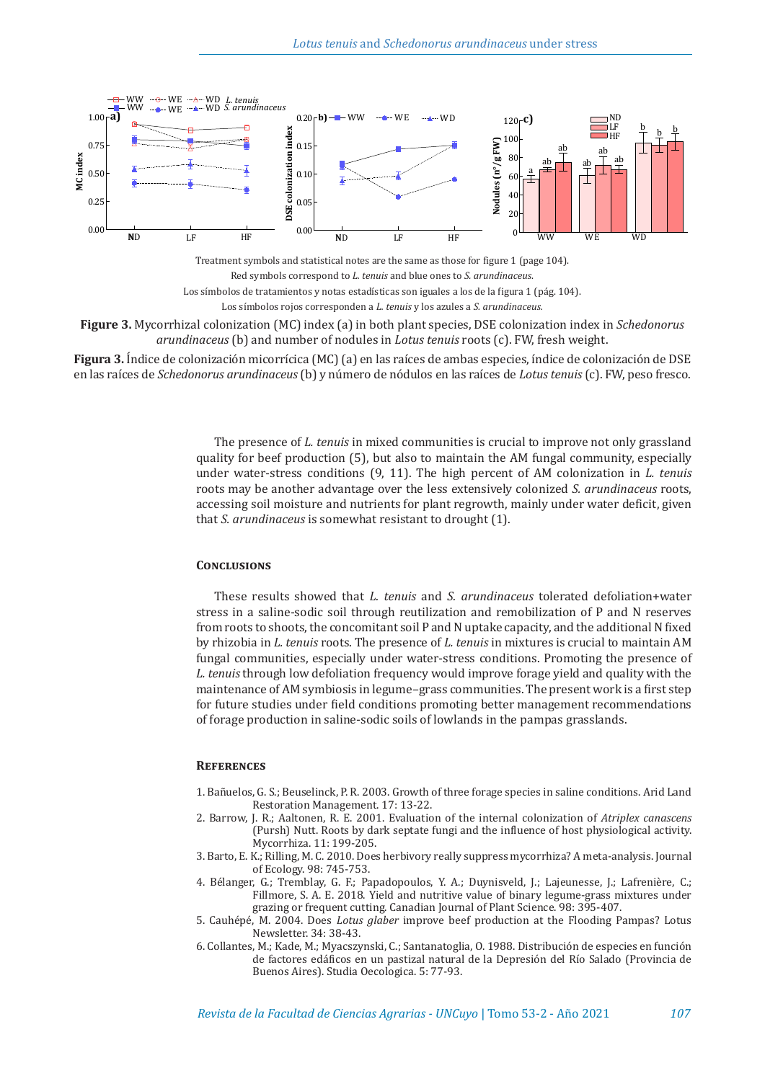

Treatment symbols and statistical notes are the same as those for figure 1 (page 104). Red symbols correspond to *L. tenuis* and blue ones to *S. arundinaceus*.

Los símbolos de tratamientos y notas estadísticas son iguales a los de la figura 1 (pág. 104). Los símbolos rojos corresponden a *L. tenuis* y los azules a *S. arundinaceus.*

**Figure 3.** Mycorrhizal colonization (MC) index (a) in both plant species, DSE colonization index in *Schedonorus arundinaceus* (b) and number of nodules in *Lotus tenuis* roots (c). FW, fresh weight.

**Figura 3.** Índice de colonización micorrícica (MC) (a) en las raíces de ambas especies, índice de colonización de DSE en las raíces de *Schedonorus arundinaceus* (b) y número de nódulos en las raíces de *Lotus tenuis* (c). FW, peso fresco.

> The presence of *L. tenuis* in mixed communities is crucial to improve not only grassland quality for beef production (5), but also to maintain the AM fungal community, especially under water-stress conditions (9, 11). The high percent of AM colonization in *L. tenuis*  roots may be another advantage over the less extensively colonized *S. arundinaceus* roots, accessing soil moisture and nutrients for plant regrowth, mainly under water deficit, given that *S. arundinaceus* is somewhat resistant to drought (1).

## **Conclusions**

These results showed that *L. tenuis* and *S. arundinaceus* tolerated defoliation+water stress in a saline-sodic soil through reutilization and remobilization of P and N reserves from roots to shoots, the concomitant soil P and N uptake capacity, and the additional N fixed by rhizobia in *L. tenuis* roots. The presence of *L. tenuis* in mixtures is crucial to maintain AM fungal communities, especially under water-stress conditions. Promoting the presence of *L. tenuis* through low defoliation frequency would improve forage yield and quality with the maintenance of AM symbiosis in legume–grass communities. The present work is a first step for future studies under field conditions promoting better management recommendations of forage production in saline-sodic soils of lowlands in the pampas grasslands.

#### **References**

- 1. Bañuelos, G. S.; Beuselinck, P. R. 2003. Growth of three forage species in saline conditions. Arid Land Restoration Management. 17: 13-22.
- 2. Barrow, J. R.; Aaltonen, R. E. 2001. Evaluation of the internal colonization of *Atriplex canascens*  (Pursh) Nutt. Roots by dark septate fungi and the influence of host physiological activity. Mycorrhiza. 11: 199-205.
- 3. Barto, E. K.; Rilling, M. C. 2010. Does herbivory really suppress mycorrhiza? A meta-analysis. Journal of Ecology. 98: 745-753.
- 4. Bélanger, G.; Tremblay, G. F.; Papadopoulos, Y. A.; Duynisveld, J.; Lajeunesse, J.; Lafrenière, C.; Fillmore, S. A. E. 2018. Yield and nutritive value of binary legume-grass mixtures under grazing or frequent cutting. Canadian Journal of Plant Science. 98: 395-407.
- 5. Cauhépé, M. 2004. Does *Lotus glaber* improve beef production at the Flooding Pampas? Lotus Newsletter. 34: 38-43.
- 6. Collantes, M.; Kade, M.; Myacszynski, C.; Santanatoglia, O. 1988. Distribución de especies en función de factores edáficos en un pastizal natural de la Depresión del Río Salado (Provincia de Buenos Aires). Studia Oecologica. 5: 77-93.